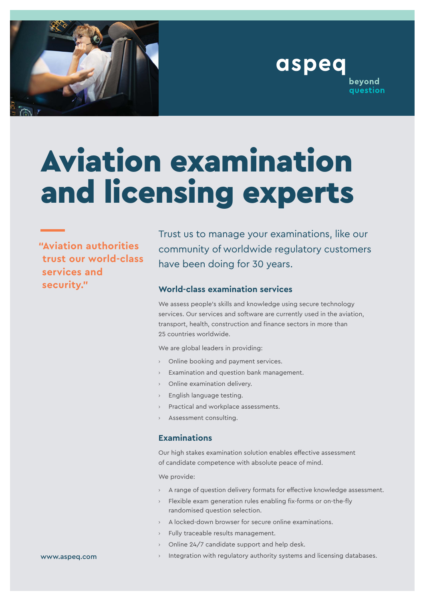

aspeq beyond question

# Aviation examination and licensing experts

**"Aviation authorities trust our world-class services and security."**

Trust us to manage your examinations, like our community of worldwide regulatory customers have been doing for 30 years.

## **World-class examination services**

We assess people's skills and knowledge using secure technology services. Our services and software are currently used in the aviation, transport, health, construction and finance sectors in more than 25 countries worldwide.

We are global leaders in providing:

- › Online booking and payment services.
- Examination and question bank management.
- Online examination delivery.
- English language testing.
- Practical and workplace assessments.
- Assessment consulting.

#### **Examinations**

Our high stakes examination solution enables effective assessment of candidate competence with absolute peace of mind.

We provide:

- A range of question delivery formats for effective knowledge assessment.
- Flexible exam generation rules enabling fix-forms or on-the-fly randomised question selection.
- A locked-down browser for secure online examinations.
- Fully traceable results management.
- Online 24/7 candidate support and help desk.
- www.aspeq.com
- Integration with regulatory authority systems and licensing databases.